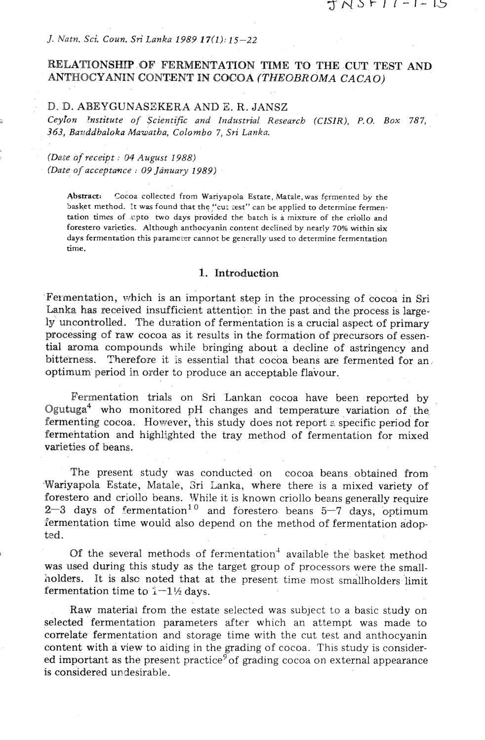### *J. Natn. Sci Coun. Sri Lanka 1989* **17(1):** *15-22*

## **RELATIONSHIP OF FERMENTATION TIME TO THE CUT TEST AND ANTHOCYANIN CONTENT IN COCOA (THEOBROMA CACAO)**

## **D.** D. **ABEYGUNASEKERA AND** E. **R. JANSZ**

*Ceyron 'nstitute of Scientific and Industrial Research (CZSIR), P.O. Box 787, .363, Baz!ddhaloka Mawatha, Colombo 7, Sri Lanka.* 

### *(Date of receipt* : *04 August 1988) (Date of accepta~lce* : *09January 1989)*

**Abstract: Cocoa collected from Wariyapola Estate, Matale,was fermented by the**  basket method. It was found that the "cut test" can be applied to determine fermentation times of upto two days provided the batch is a mixture of the criollo and **forestero varieties. Although anthocyanin content declinea by nearly** 70% **within six**  days fermentation this parameter cannot be generally used to determine fermentation **time.** 

## **1. Introduction**

Fermentation, which is an important step in the processing of cocoa in Sri Lanka has received insufficient attentior in the past and the process is largely uncontrolled. The duration of fermentation is a crucial aspect of primary processing of raw cocoa as it results in the formation of precursors of essential aroma compounds while bringing about a decline of astringency and bitterness. Therefore it is essential that cocoa beans are fermented for an optimum period in order to produce an acceptable flavour.

Fermentation trials on Sri Lankan cocoa have been reported by Ogutuga $4$  who monitored pH changes and temperature variation of the fermenting cocoa. However, this study does not report  $\varepsilon$  specific period for fermentation and highlighted the tray method of fermentation for mixed varieties of beans.

The present study was conducted on cocoa beans obtained from Wariyapola Estate, Matale, Sri Lanka, where there is a mixed variety of forestero and criollo beans. While it is known criollo beans generally require  $2-3$  days of fermentation<sup>10</sup> and forestero beans  $5-7$  days, optimum fermentation time would also depend on the method of fermentation adopted.

Of the several methods of fermentation<sup>4</sup> available the basket method was used during this study as the target group of processors were the smallholders. It is also noted that at the present time most smallholders limit fermentation time to  $1-1\frac{1}{2}$  days.

Raw material from the estate selected was subject to a basic study on selected fermentation parameters after which an attempt was made to correlate fermentation and storage time with the cut test and anthocyanin content with a view to aiding in the grading of cocoa. This study is considered important as the present practice<sup>9</sup> of grading cocoa on external appearance is considered undesirable.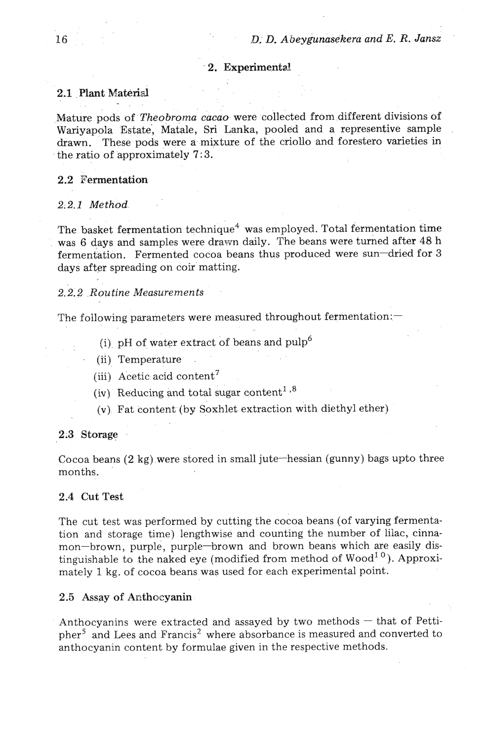## 2. Experimental.

## 2.1 Plant Material

Mature pods of *Theobroma cacao* were collected from different divisions of Wariyapola Estate, Matale, **Sri** Lanka, pooled and a representive sample drawn. These pods were a mixture of the criollo and forestero varieties in the ratio of approximately 7: **3.** 

## 2.2 Fermentation

#### 2;2.1 *Method.*

The basket fermentation technique<sup>4</sup> was employed. Total fermentation time was 6 days and samples were drawn daily. The beans were turned after 48 h fermentation. Fermented cocoa beans thus produced were sun-dried for **3**  days after spreading on coir matting.

## *2.2.2 .Routine Measurements* ' .

The following parameters were measured throughout fermentation: $-$ 

- (i) pH of water extract of beans and  $\text{pulp}^6$
- (ii) Temperature
- (iii) Acetic acid content7
- (iv) Reducing and total sugar content<sup>1,8</sup>
- $(v)$ . Fat content (by Soxhlet extraction with diethyl ether)

#### **2:3** Storage

Cocoa beans (2 kg) were stored in small jute-hessian (gunny) bags upto three months.

## 2.4 Cut Test

The cut test was performed by cutting the cocoa beans (of varying fermentation and storage time) lengthwise and counting the number of lilac, cinnamon-brown, purple, purple-brown and brown beans which are easily distinguishable to the naked eye (modified from method of Wood<sup>10</sup>). Approximately 1 kg. of cocoa beans was used for each experimental point.

#### 2.5 Assay of **Anthocyanin**

Anthocyanins were extracted and assayed by two methods  $-$  that of Pettipher<sup>5</sup> and Lees and Francis<sup>2</sup> where absorbance is measured and converted to anthocyanin content by formulae given in the respective methods.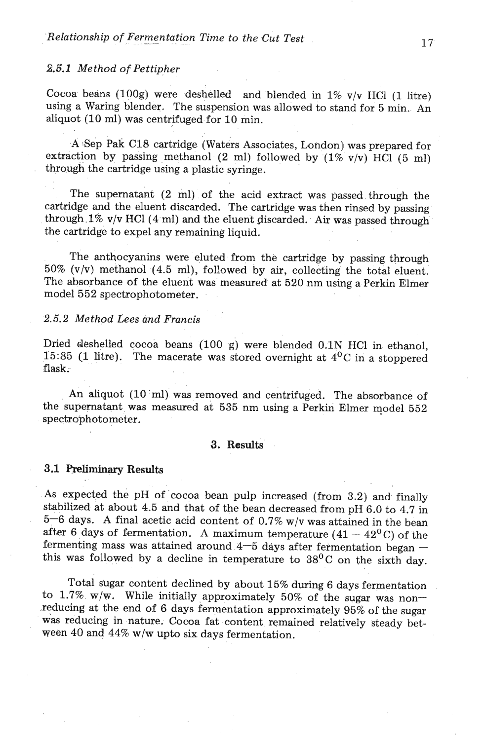#### **2.5.1** *Method* of *Pettipher*

Cocoa beans (100g) were deshelled and blended in  $1\%$  v/v HCl (1 litre) using a Waring blender. The suspension was allowed to stand for 5 min. An aliquot (10 ml) was centrifuged for 10 min.

A 6ep Pak **C18** cartridge (Waters Associates, London) was prepared for extraction by passing methanol (2 ml) followed by  $(1\% \text{ v/v})$  HCl  $(5 \text{ ml})$ through the cartridge using a plastic syringe.

The supernatant (2 ml) of the acid extract was passed through the cartridge and the eluent discarded. The cartridge was then rinsed by passing through 1% v/v HCl(4 ml) and the eluent discarded. Air **was** passed through the cartridge to expel any remaining liquid.

The anthocyanins were eluted from the cartridge by passing through  $50\%$  (v/v) methanol (4.5 ml), followed by air, collecting the total eluent. The absorbance of the eluent was measured at 520 nm using a Perkin Elmer model 552 spectrophotometer.

## *2.5.2 Method Lees and Francis*

Dried deshelled cocoa beans (100 g) were blended 0.1N HC1 in ethanol, 15:85 **(1 litre).** The macerate was stored overnight at  $4^{0}C$  in a stoppered flask.

An aliquot (10 ml) was removed and centrifuged. The absorbance of the supernatant was measured at  $535$  nm using a Perkin Elmer model  $552$ spectrophotometer.

## **3.** Results

## 3.1 **Preliminary** Results

As expected the pH of cocoa bean pulp increased (from 3.2) and finally stabilized at about 4.5 and that of the bean decreased from pH 6.0 to 4.7 in  $5-6$  days. A final acetic acid content of 0.7% w/v was attained in the bean after 6 days of fermentation. A maximum temperature  $(41 - 42^{\circ}C)$  of the after 6 days of fermentation. A maximum temperature  $(41 - 42^0)$  of the fermenting mass was attained around  $4-5$  days after fermentation began – this was followed by a decline in temperature to  $38^{\circ}$ C on the sixth day.

Total sugar content declined by about 15% during 6 days fermentation to 1.7% w/w. While initially approximately 50% of the sugar was non-,reducing at the end of 6 days fermentation approximately **95%** of the sugar was reducing in nature. Cocoa fat content remained relatively steady between 40 and 44% **w/w** upto six days fermentation.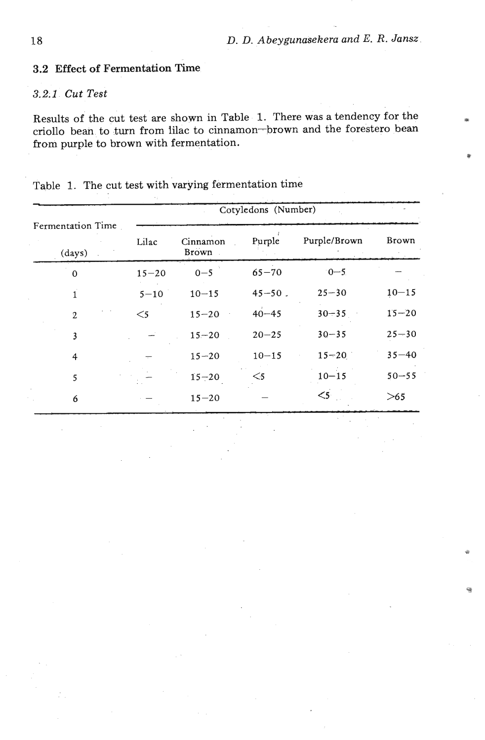## **3.2 Effect of Fermentation Time**

# 32; *1 Cut Test*

Results of the cut test are shown in Table 1. There was a tendency for the **<sup>3</sup>** criollo bean to turn from lilac to cinnamon-brown and the forestero bean from purple to brown with fermentation.

|                             |           |                   | Cotyledons (Number) |              |              |
|-----------------------------|-----------|-------------------|---------------------|--------------|--------------|
| Fermentation Time<br>(days) | Lilac     | Cinnamon<br>Brown | Purple              | Purple/Brown | <b>Brown</b> |
| $\mathbf 0$                 | $15 - 20$ | $0 - 5$           | $65 - 70$           | $0 - 5$      |              |
| 1                           | $5 - 10$  | $10 - 15$         | $45 - 50$ .         | $25 - 30$    | $10 - 15$    |
| $\overline{2}$              | $<$ 5     | $15 - 20$         | $40 - 45$           | $30 - 35$    | $15 - 20$    |
| 3                           |           | $15 - 20$         | $20 - 25$           | $30 - 35$    | $25 - 30$    |
| 4                           |           | $15 - 20$         | $10 - 15$           | $15 - 20$    | $35 - 40$    |
| 5                           |           | $15 - 20$         | $<$ 5               | $10 - 15$    | $50 - 55$    |
| 6                           |           | $15 - 20$         |                     | $\leq$       | $>65$        |

Table 1. The cut test with varying fermentation time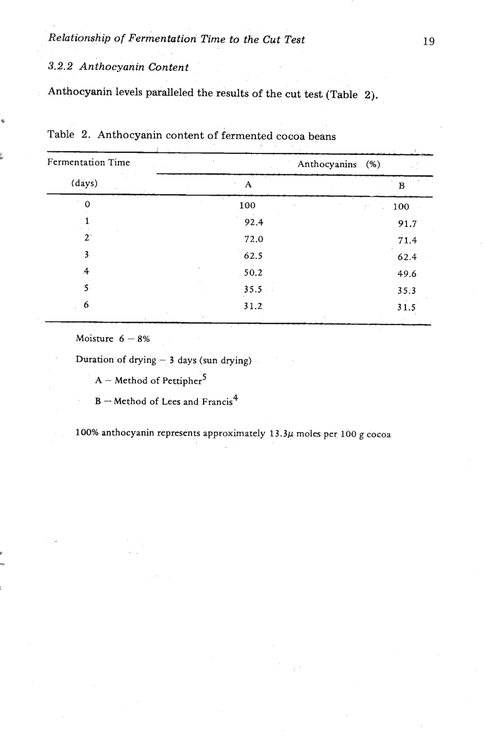*Relationship of Fermentation Time to the Cut Test* 

# *3.2.2 Anthocyanin Content*

**4** 

**u** 

**Anthocyanin levels paralleled the results of the cut test (Table 2).** 

| Fermentation Time |      | Anthocyanins (%)                   |
|-------------------|------|------------------------------------|
| (days)            | A    | в                                  |
| $\Omega$          | 100  | 100<br>$\mathcal{F}^{\mathcal{A}}$ |
|                   | 92.4 | 91.7                               |
| $2^{\circ}$       | 72.0 | 71.4                               |
| 3                 | 62.5 | 62.4                               |
| $\overline{A}$    | 50.2 | 49.6                               |
| $5 -$             | 35.5 | 35.3                               |
| 6                 | 31.2 | 31.5                               |

Table 2. Anthocyanin content of fermented cocoa beans

**Moisture 6 - 8%** 

**Duration of drying** - **3 days (sun drying)** 

 $A -$  **Method of Pettipher**<sup>5</sup>

**B** - Method of Lees and Francis<sup>4</sup>

100% anthocyanin represents approximately 13.3µ moles per 100 g cocoa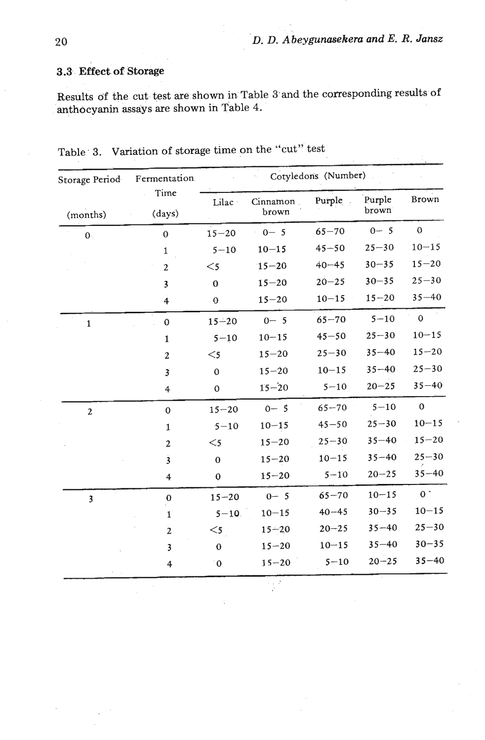# **3.3.. Effect. of Storage**

**Results df the cut test are shown in Table 3'and the corresponding results of anthocyanin assays are shown in Table 4.** 

| Storage Period | Fermentation.                                                                 |                  |                   | Cotyledons (Number) |                 |                |
|----------------|-------------------------------------------------------------------------------|------------------|-------------------|---------------------|-----------------|----------------|
| (months)       | Time<br>(days)                                                                | Lilac            | Cinnamon<br>brown | Purple.             | Purple<br>brown | Brown          |
| 0.             | $\mathbf{0}$                                                                  | $15 - 20$        | $0 - 5$           | $65 - 70$           | $0 - 5$         | $\mathbf{0}$   |
|                | $\mathbf{1}$                                                                  | $5 - 10$         | $10 - 15$         | $45 - 50$           | $25 - 30$       | $10 - 15$      |
|                | $\mathbf 2$                                                                   | $<$ 5            | $15 - 20$         | $40 - 45$           | $30 - 35$       | $15 - 20$      |
|                | 3                                                                             | $\bf{0}$         | $15 - 20$         | $20 - 25$           | $30 - 35$       | $25 - 30$      |
|                | $\overline{\mathbf{4}}$                                                       | $\mathbf 0$      | $15 - 20$         | $10 - 15$           | $15 - 20$       | $35 - 40$      |
| $\mathbf{1}$   | $\pmb{0}$                                                                     | $15 - 20$        | $0 - 5$           | $65 - 70$           | $5 - 10$        | $\mathbf 0$    |
|                | $\mathbf{1}$                                                                  | $5 - 10$         | $10 - 15$         | $45 - 50$           | $25 - 30$       | $10 - 15$      |
|                | $\overline{2}$                                                                | $<$ 5            | $15 - 20$         | $25 - 30$           | $35 - 40$       | $15 - 20$      |
|                | $\overline{\mathbf{3}}$                                                       | $\mathbf 0$      | $15 - 20$         | $10 - 15$           | $35 - 40$       | $25 - 30$      |
|                | $\overline{4}$                                                                | $\mathbf 0$      | $15 - 20$         | $5 - 10$            | $20 - 25$       | $35 - 40$      |
| $\overline{2}$ | $\mathbf 0$                                                                   | $15 - 20$        | $0 - 5$           | $65 - 70$           | $5 - 10$        | $\mathbf{0}$   |
|                | $10 - 15$<br>$5 - 10$<br>$\mathbf{1}$<br>$15 - 20$<br>$<$ 5<br>$\overline{2}$ |                  | $45 - 50$         | $25 - 30$           | $10 - 15$       |                |
|                |                                                                               | $25 - 30$        | $35 - 40$         | $15 - 20$           |                 |                |
|                | $\overline{\mathbf{3}}$                                                       | $\mathbf 0$      | $15 - 20$         | $10 - 15$           | $35 - 40$       | $25 - 30$      |
|                | 4                                                                             | $\boldsymbol{0}$ | $15 - 20$         | $5 - 10$            | $20 - 25$       | $35 - 40$      |
| 3              | $\bf{0}$                                                                      | $15 - 20$        | $0 - 5$           | $65 - 70$           | $10 - 15$       | 0 <sup>1</sup> |
|                | $\mathbf{1}$                                                                  | $5 - 10$         | $10 - 15$         | $40 - 45$           | $30 - 35$       | $10 - 15$      |
|                | $\overline{2}$                                                                | $<$ 5            | $15 - 20$         | $20 - 25$           | $35 - 40$       | $25 - 30$      |
|                | $\overline{\mathbf{3}}$                                                       | $\bf{0}$         | $15 - 20$         | $10 - 15$           | $35 - 40$       | $30 - 35$      |
|                | $\overline{4}$                                                                | $\theta$         | $15 - 20$         | $5 - 10$            | $20 - 25$       | $35 - 40$      |
|                |                                                                               |                  | $\sim 10^{-12}$   |                     |                 |                |

**Table. 3. Variation of storage time on the "cut'' test**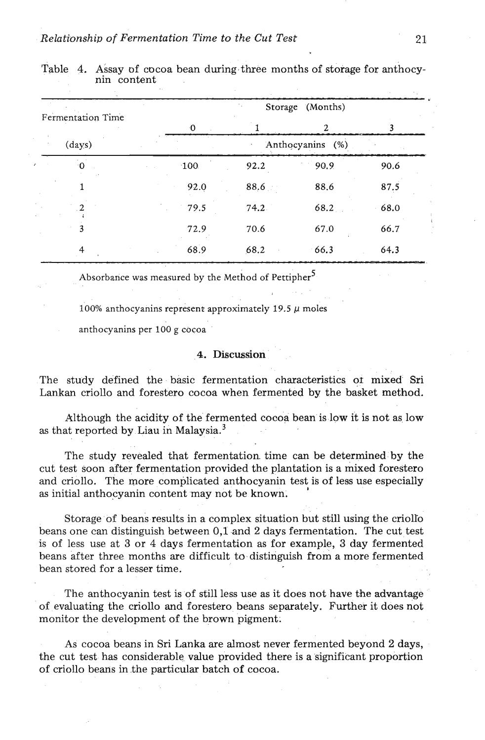|                   |      | Storage (Months)               |                |      |  |
|-------------------|------|--------------------------------|----------------|------|--|
| Fermentation Time | -0   |                                | $\mathbf{2}$   |      |  |
| $\frac{days}{9}$  |      | Anthocyanins (%)<br>$\epsilon$ |                |      |  |
| ۰0                | 100  | 92.2                           | 90.9<br>$\sim$ | 90.6 |  |
| 1                 | 92.0 | 88,6                           | 88.6           | 87.5 |  |
| າ                 | 79.5 | 74.2                           | 68.2           | 68.0 |  |
| 3                 | 72.9 | 70.6                           | 67.0           | 66.7 |  |
| 4                 | 68.9 | 68.2                           | 66.3           | 64.3 |  |

Table 4. Assay of cocoa bean during three months of storage for anthocynin content

Absorbance was measured by the Method of Pettipher **<sup>5</sup>**

100% anthocyanins represent approximately 19.5  $\mu$  moles

anthocyanins per 100 g cocoa

## **4. Discussion**

The study defined the basic fermentation characteristics or mixed Sri Lankan criollo and forestero cocoa when fermented by the basket method.

Although the acidity of the fermented cocoa bean is low it is not as low as that reported by Liau in Malaysia. $^3$ 

The study revealed that fermentation time can be determined by the cut test soon after fermentation provided the plantation is a mixed forestero and criollo. The more complicated anthocyanin test is of less use especially **as** initial anthocyanin content may not be known. **<sup>I</sup>**

Storage of beans results in a complex situation but still using the criolro beans one can distinguish between 0,l **.and 2** days fermentation. The cut test is of less use at **3** or 4 days fermentation as for example, **3** day fermented beans after three months are difficult to distinguish from a more fermented bean stored for a lesser time.

The anthocyanin test is of still less use as it does not have the advantage of evaluating the criollo and forestero, beans separately. Further it does not monitor the development of the brown pigment:

As cocoa beans in **Sri** Lanka are almost never fermented beyond 2 days, the cut test has considerable value provided there is a significant proportion of criollo beans in .the particular batch of cocoa.